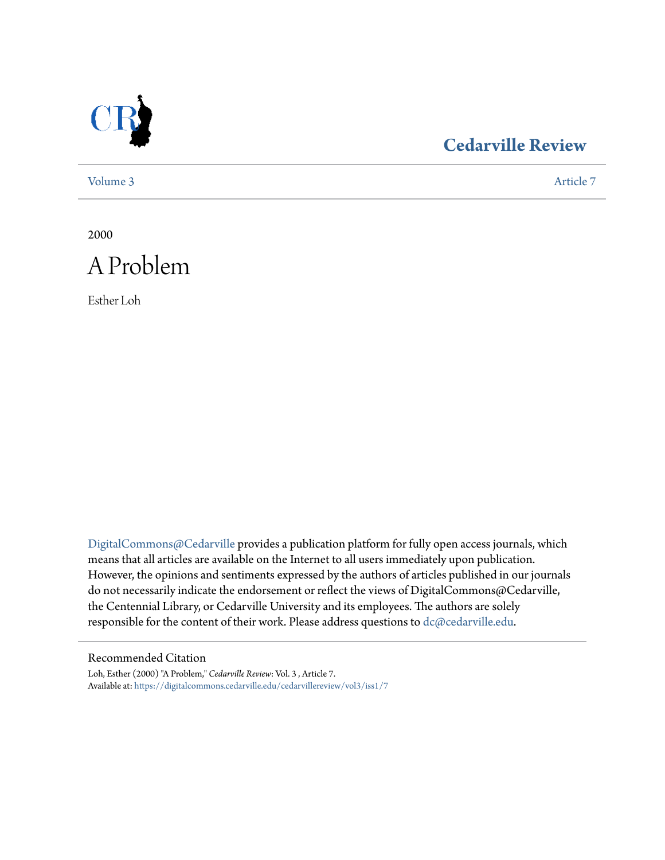

### **[Cedarville Review](https://digitalcommons.cedarville.edu/cedarvillereview?utm_source=digitalcommons.cedarville.edu%2Fcedarvillereview%2Fvol3%2Fiss1%2F7&utm_medium=PDF&utm_campaign=PDFCoverPages)**

[Volume 3](https://digitalcommons.cedarville.edu/cedarvillereview/vol3?utm_source=digitalcommons.cedarville.edu%2Fcedarvillereview%2Fvol3%2Fiss1%2F7&utm_medium=PDF&utm_campaign=PDFCoverPages) [Article 7](https://digitalcommons.cedarville.edu/cedarvillereview/vol3/iss1/7?utm_source=digitalcommons.cedarville.edu%2Fcedarvillereview%2Fvol3%2Fiss1%2F7&utm_medium=PDF&utm_campaign=PDFCoverPages)

2000



Esther Loh

[DigitalCommons@Cedarville](http://digitalcommons.cedarville.edu) provides a publication platform for fully open access journals, which means that all articles are available on the Internet to all users immediately upon publication. However, the opinions and sentiments expressed by the authors of articles published in our journals do not necessarily indicate the endorsement or reflect the views of DigitalCommons@Cedarville, the Centennial Library, or Cedarville University and its employees. The authors are solely responsible for the content of their work. Please address questions to [dc@cedarville.edu](mailto:dc@cedarville.edu).

#### Recommended Citation

Loh, Esther (2000) "A Problem," *Cedarville Review*: Vol. 3 , Article 7. Available at: [https://digitalcommons.cedarville.edu/cedarvillereview/vol3/iss1/7](https://digitalcommons.cedarville.edu/cedarvillereview/vol3/iss1/7?utm_source=digitalcommons.cedarville.edu%2Fcedarvillereview%2Fvol3%2Fiss1%2F7&utm_medium=PDF&utm_campaign=PDFCoverPages)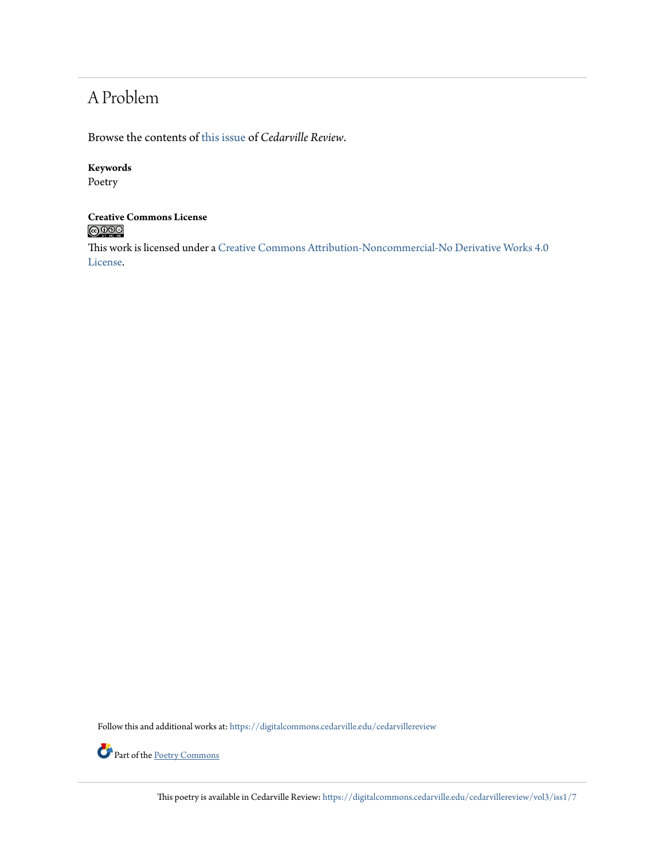## A Problem

Browse the contents of [this issue](https://digitalcommons.cedarville.edu/cedarvillereview/vol3/iss1) of *Cedarville Review*.

#### **Keywords**

Poetry

#### **Creative Commons License**  $\bigcirc$  000

This work is licensed under a [Creative Commons Attribution-Noncommercial-No Derivative Works 4.0](http://creativecommons.org/licenses/by-nc-nd/4.0/) [License.](http://creativecommons.org/licenses/by-nc-nd/4.0/)

Follow this and additional works at: [https://digitalcommons.cedarville.edu/cedarvillereview](https://digitalcommons.cedarville.edu/cedarvillereview?utm_source=digitalcommons.cedarville.edu%2Fcedarvillereview%2Fvol3%2Fiss1%2F7&utm_medium=PDF&utm_campaign=PDFCoverPages)



Part of the <u>[Poetry Commons](http://network.bepress.com/hgg/discipline/1153?utm_source=digitalcommons.cedarville.edu%2Fcedarvillereview%2Fvol3%2Fiss1%2F7&utm_medium=PDF&utm_campaign=PDFCoverPages)</u>

This poetry is available in Cedarville Review: [https://digitalcommons.cedarville.edu/cedarvillereview/vol3/iss1/7](https://digitalcommons.cedarville.edu/cedarvillereview/vol3/iss1/7?utm_source=digitalcommons.cedarville.edu%2Fcedarvillereview%2Fvol3%2Fiss1%2F7&utm_medium=PDF&utm_campaign=PDFCoverPages)